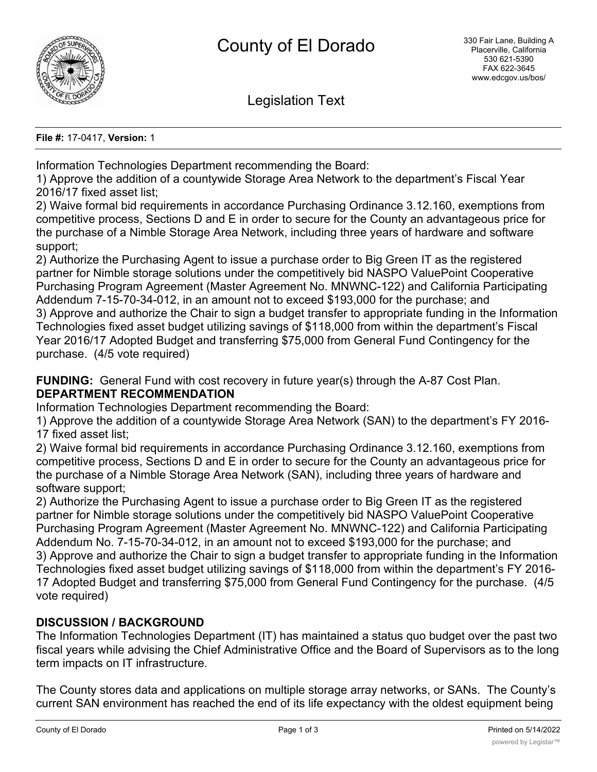

Legislation Text

**File #:** 17-0417, **Version:** 1

Information Technologies Department recommending the Board:

1) Approve the addition of a countywide Storage Area Network to the department's Fiscal Year 2016/17 fixed asset list;

2) Waive formal bid requirements in accordance Purchasing Ordinance 3.12.160, exemptions from competitive process, Sections D and E in order to secure for the County an advantageous price for the purchase of a Nimble Storage Area Network, including three years of hardware and software support;

2) Authorize the Purchasing Agent to issue a purchase order to Big Green IT as the registered partner for Nimble storage solutions under the competitively bid NASPO ValuePoint Cooperative Purchasing Program Agreement (Master Agreement No. MNWNC-122) and California Participating Addendum 7-15-70-34-012, in an amount not to exceed \$193,000 for the purchase; and 3) Approve and authorize the Chair to sign a budget transfer to appropriate funding in the Information Technologies fixed asset budget utilizing savings of \$118,000 from within the department's Fiscal Year 2016/17 Adopted Budget and transferring \$75,000 from General Fund Contingency for the purchase. (4/5 vote required)

**FUNDING:** General Fund with cost recovery in future year(s) through the A-87 Cost Plan. **DEPARTMENT RECOMMENDATION**

Information Technologies Department recommending the Board:

1) Approve the addition of a countywide Storage Area Network (SAN) to the department's FY 2016- 17 fixed asset list;

2) Waive formal bid requirements in accordance Purchasing Ordinance 3.12.160, exemptions from competitive process, Sections D and E in order to secure for the County an advantageous price for the purchase of a Nimble Storage Area Network (SAN), including three years of hardware and software support;

2) Authorize the Purchasing Agent to issue a purchase order to Big Green IT as the registered partner for Nimble storage solutions under the competitively bid NASPO ValuePoint Cooperative Purchasing Program Agreement (Master Agreement No. MNWNC-122) and California Participating Addendum No. 7-15-70-34-012, in an amount not to exceed \$193,000 for the purchase; and 3) Approve and authorize the Chair to sign a budget transfer to appropriate funding in the Information Technologies fixed asset budget utilizing savings of \$118,000 from within the department's FY 2016- 17 Adopted Budget and transferring \$75,000 from General Fund Contingency for the purchase. (4/5 vote required)

# **DISCUSSION / BACKGROUND**

The Information Technologies Department (IT) has maintained a status quo budget over the past two fiscal years while advising the Chief Administrative Office and the Board of Supervisors as to the long term impacts on IT infrastructure.

The County stores data and applications on multiple storage array networks, or SANs. The County's current SAN environment has reached the end of its life expectancy with the oldest equipment being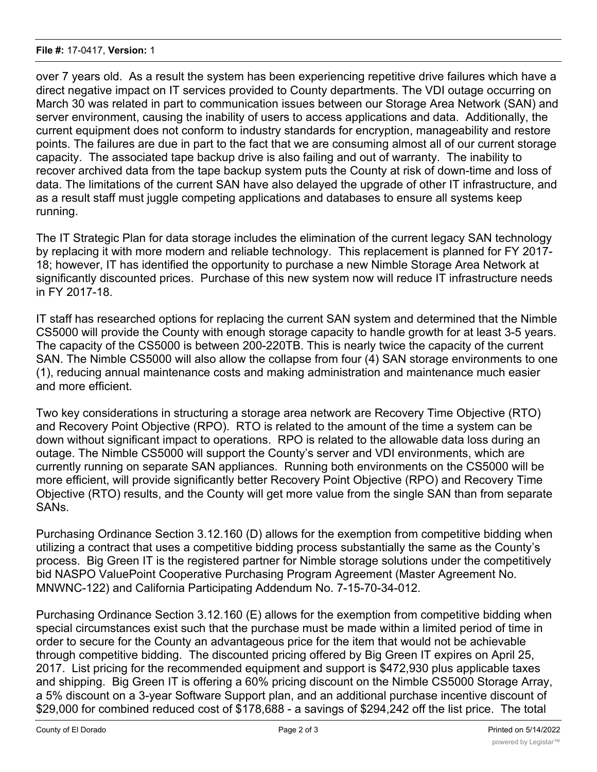over 7 years old. As a result the system has been experiencing repetitive drive failures which have a direct negative impact on IT services provided to County departments. The VDI outage occurring on March 30 was related in part to communication issues between our Storage Area Network (SAN) and server environment, causing the inability of users to access applications and data. Additionally, the current equipment does not conform to industry standards for encryption, manageability and restore points. The failures are due in part to the fact that we are consuming almost all of our current storage capacity. The associated tape backup drive is also failing and out of warranty. The inability to recover archived data from the tape backup system puts the County at risk of down-time and loss of data. The limitations of the current SAN have also delayed the upgrade of other IT infrastructure, and as a result staff must juggle competing applications and databases to ensure all systems keep running.

The IT Strategic Plan for data storage includes the elimination of the current legacy SAN technology by replacing it with more modern and reliable technology. This replacement is planned for FY 2017- 18; however, IT has identified the opportunity to purchase a new Nimble Storage Area Network at significantly discounted prices. Purchase of this new system now will reduce IT infrastructure needs in FY 2017-18.

IT staff has researched options for replacing the current SAN system and determined that the Nimble CS5000 will provide the County with enough storage capacity to handle growth for at least 3-5 years. The capacity of the CS5000 is between 200-220TB. This is nearly twice the capacity of the current SAN. The Nimble CS5000 will also allow the collapse from four (4) SAN storage environments to one (1), reducing annual maintenance costs and making administration and maintenance much easier and more efficient.

Two key considerations in structuring a storage area network are Recovery Time Objective (RTO) and Recovery Point Objective (RPO). RTO is related to the amount of the time a system can be down without significant impact to operations. RPO is related to the allowable data loss during an outage. The Nimble CS5000 will support the County's server and VDI environments, which are currently running on separate SAN appliances. Running both environments on the CS5000 will be more efficient, will provide significantly better Recovery Point Objective (RPO) and Recovery Time Objective (RTO) results, and the County will get more value from the single SAN than from separate SANs.

Purchasing Ordinance Section 3.12.160 (D) allows for the exemption from competitive bidding when utilizing a contract that uses a competitive bidding process substantially the same as the County's process. Big Green IT is the registered partner for Nimble storage solutions under the competitively bid NASPO ValuePoint Cooperative Purchasing Program Agreement (Master Agreement No. MNWNC-122) and California Participating Addendum No. 7-15-70-34-012.

Purchasing Ordinance Section 3.12.160 (E) allows for the exemption from competitive bidding when special circumstances exist such that the purchase must be made within a limited period of time in order to secure for the County an advantageous price for the item that would not be achievable through competitive bidding. The discounted pricing offered by Big Green IT expires on April 25, 2017. List pricing for the recommended equipment and support is \$472,930 plus applicable taxes and shipping. Big Green IT is offering a 60% pricing discount on the Nimble CS5000 Storage Array, a 5% discount on a 3-year Software Support plan, and an additional purchase incentive discount of \$29,000 for combined reduced cost of \$178,688 - a savings of \$294,242 off the list price. The total